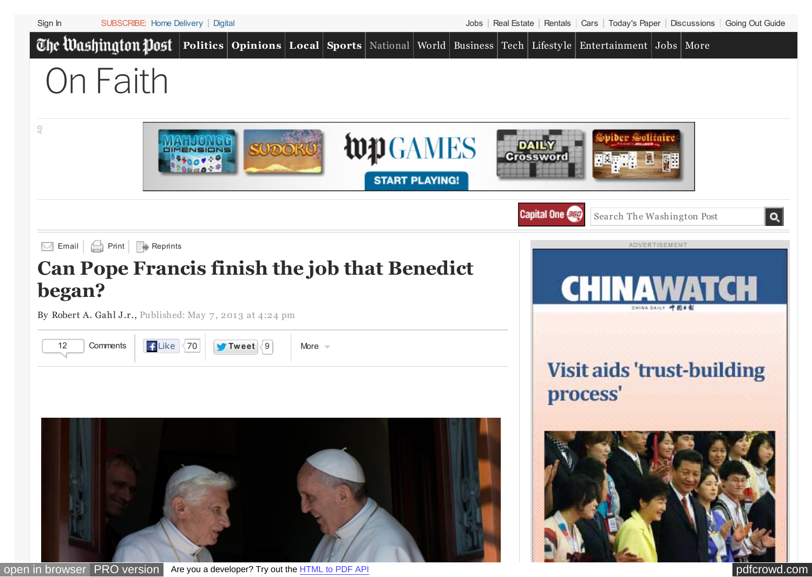<span id="page-0-0"></span>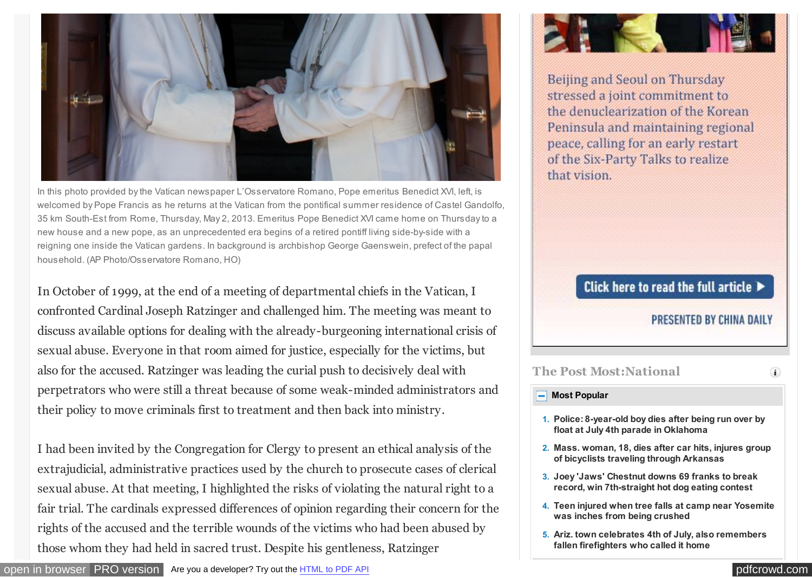

In this photo provided by the Vatican newspaper L'Osservatore Romano, Pope emeritus Benedict XVI, left, is welcomed by Pope Francis as he returns at the Vatican from the pontifical summer residence of Castel Gandolfo, 35 km South-Est from Rome, Thursday, May 2, 2013. Emeritus Pope Benedict XVI came home on Thursday to a new house and a new pope, as an unprecedented era begins of a retired pontiff living side-by-side with a reigning one inside the Vatican gardens. In background is archbishop George Gaenswein, prefect of the papal household. (AP Photo/Osservatore Romano, HO)

In October of 1999, at the end of a meeting of departmental chiefs in the Vatican, I confronted Cardinal Joseph Ratzinger and challenged him. The meeting was meant to discuss available options for dealing with the already-burgeoning international crisis of sexual abuse. Everyone in that room aimed for justice, especially for the victims, but also for the accused. Ratzinger was leading the curial push to decisively deal with perpetrators who were still a threat because of some weak-minded administrators and their policy to move criminals first to treatment and then back into ministry.

I had been invited by the Congregation for Clergy to present an ethical analysis of the extrajudicial, administrative practices used by the church to prosecute cases of clerical sexual abuse. At that meeting, I highlighted the risks of violating the natural right to a fair trial. The cardinals expressed differences of opinion regarding their concern for the rights of the accused and the terrible wounds of the victims who had been abused by those whom they had held in sacred trust. Despite his gentleness, Ratzinger



Beijing and Seoul on Thursday stressed a joint commitment to the denuclearization of the Korean Peninsula and maintaining regional peace, calling for an early restart of the Six-Party Talks to realize that vision.

## Click here to read the full article  $\blacktriangleright$

### PRESENTED BY CHINA DAILY

**The Post Most:National**

### **[Most Popular](#page-0-0)**

- **1. [Police: 8-year-old boy dies after being run over by](http://www.washingtonpost.com/national/authorities-say-boy-dies-after-being-hit-by-float-at-july-4th-parade-in-central-oklahoma/2013/07/04/95d2fa9e-e4da-11e2-bffd-37a36ddab820_story.html?tid=pm_national_pop) float at July 4th parade in Oklahoma**
- **2. [Mass. woman, 18, dies after car hits, injures group](http://www.washingtonpost.com/national/mass-woman-18-dies-after-car-hits-injures-group-of-bicyclists-traveling-through-arkansas/2013/07/04/cabdc672-e4e8-11e2-bffd-37a36ddab820_story.html?tid=pm_national_pop) of bicyclists traveling through Arkansas**
- **3. [Joey 'Jaws' Chestnut downs 69 franks to break](http://www.washingtonpost.com/national/coney-island-hot-dog-eating-contest-set-to-crown-chowdown-champs-2012-winners-defend-titles/2013/07/04/6d8b0350-e472-11e2-bffd-37a36ddab820_story.html?tid=pm_national_pop) record, win 7th-straight hot dog eating contest**
- **4. [Teen injured when tree falls at camp near Yosemite](http://www.washingtonpost.com/national/21-year-old-art-counselor-killed-as-oak-falls-on-summer-camp-near-yosemite-children-unharmed/2013/07/04/1ebfb922-e482-11e2-bffd-37a36ddab820_story.html?tid=pm_national_pop) was inches from being crushed**
- **5. [Ariz. town celebrates 4th of July, also remembers](http://www.washingtonpost.com/national/members-of-investigative-team-to-get-first-look-at-site-where-19-arizona-firefighters-died/2013/07/03/3bfe7dbe-e43e-11e2-bffd-37a36ddab820_story.html?tid=pm_national_pop) fallen firefighters who called it home**

 $\left( \mathbf{i} \right)$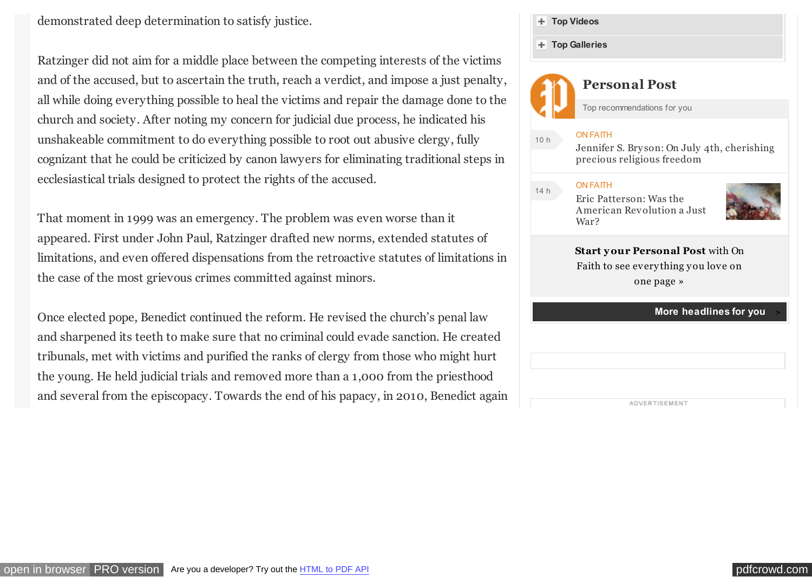demonstrated deep determination to satisfy justice.

Ratzinger did not aim for a middle place between the competing interests of the victims and of the accused, but to ascertain the truth, reach a verdict, and impose a just penalty, all while doing everything possible to heal the victims and repair the damage done to the church and society. After noting my concern for judicial due process, he indicated his unshakeable commitment to do everything possible to root out abusive clergy, fully cognizant that he could be criticized by canon lawyers for eliminating traditional steps in ecclesiastical trials designed to protect the rights of the accused.

That moment in 1999 was an emergency. The problem was even worse than it appeared. First under John Paul, Ratzinger drafted new norms, extended statutes of limitations, and even offered dispensations from the retroactive statutes of limitations in the case of the most grievous crimes committed against minors.

Once elected pope, Benedict continued the reform. He revised the church's penal law and sharpened its teeth to make sure that no criminal could evade sanction. He created tribunals, met with victims and purified the ranks of clergy from those who might hurt the young. He held judicial trials and removed more than a 1,000 from the priesthood and several from the episcopacy. Towards the end of his papacy, in 2010, Benedict again



ADVERTISEMENT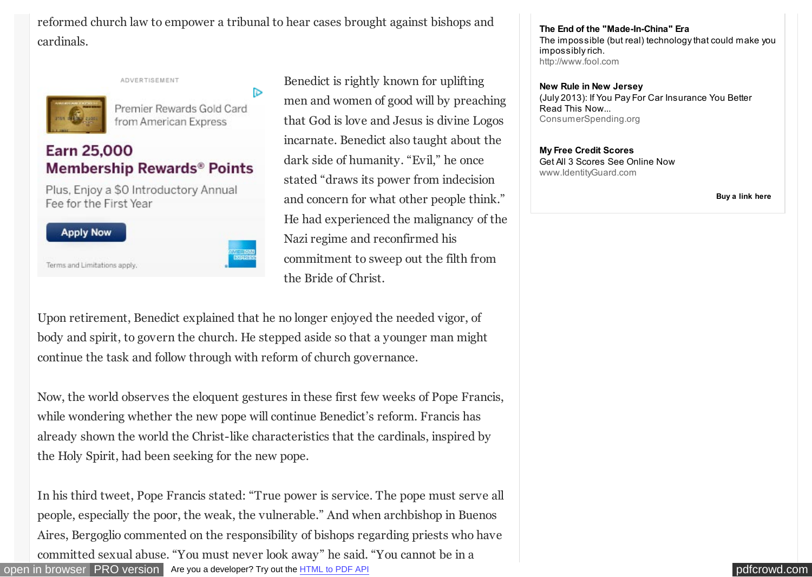reformed church law to empower a tribunal to hear cases brought against bishops and cardinals.

D

ADVERTISEMENT



Premier Rewards Gold Card from American Express

# **Earn 25,000 Membership Rewards® Points**

Plus, Enjoy a \$0 Introductory Annual Fee for the First Year



Terms and Limitations apply.

Benedict is rightly known for uplifting men and women of good will by preaching that God is love and Jesus is divine Logos incarnate. Benedict also taught about the dark side of humanity. "Evil," he once stated "draws its power from indecision and concern for what other people think." He had experienced the malignancy of the Nazi regime and reconfirmed his commitment to sweep out the filth from the Bride of Christ.

Upon retirement, Benedict explained that he no longer enjoyed the needed vigor, of body and spirit, to govern the church. He stepped aside so that a younger man might continue the task and follow through with reform of church governance.

Now, the world observes the eloquent gestures in these first few weeks of Pope Francis, while wondering whether the new pope will continue Benedict's reform. Francis has already shown the world the Christ-like characteristics that the cardinals, inspired by the Holy Spirit, had been seeking for the new pope.

[open in browser](http://pdfcrowd.com/redirect/?url=http%3a%2f%2fwww.washingtonpost.com%2fblogs%2fon-faith%2fwp%2f2013%2f05%2f07%2fcan-pope-francis-finish-the-job-that-benedict-began%2f&id=ma-130704222603-362bf0a0) [PRO version](http://pdfcrowd.com/customize/) Are you a developer? Try out th[e HTML to PDF API](http://pdfcrowd.com/html-to-pdf-api/?ref=pdf) performance of the Area and the MTML to PDF API performance of the Area and the Area and the Area and the Area and the Area and the Area and the In his third tweet, Pope Francis stated: "True power is service. The pope must serve all people, especially the poor, the weak, the vulnerable." And when archbishop in Buenos Aires, Bergoglio commented on the responsibility of bishops regarding priests who have committed sexual abuse. "You must never look away" he said. "You cannot be in a

**[The End of the "Made-In-China" Era](javascript:void(0);)** [The impossible \(but real\) technology that could make you](javascript:void(0);) impossibly rich. [http://www.fool.com](javascript:void(0);)

#### **[New Rule in New Jersey](javascript:void(0);)** [\(July 2013\): If You Pay For Car Insurance You Better](javascript:void(0);) Read This Now... [ConsumerSpending.org](javascript:void(0);)

**[My Free Credit Scores](javascript:void(0);)** [Get All 3 Scores See Online Now](javascript:void(0);) [www.IdentityGuard.com](javascript:void(0);)

**[Buy a link here](http://washingtonpost.sl.advertising.com/admin/advertisers/indexPl.jsp)**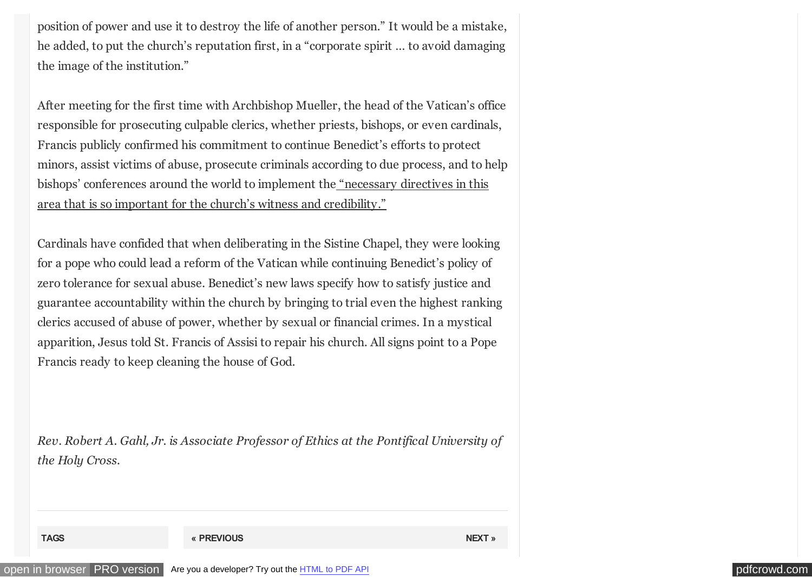position of power and use it to destroy the life of another person." It would be a mistake, he added, to put the church's reputation first, in a "corporate spirit … to avoid damaging the image of the institution."

After meeting for the first time with Archbishop Mueller, the head of the Vatican's office responsible for prosecuting culpable clerics, whether priests, bishops, or even cardinals, Francis publicly confirmed his commitment to continue Benedict's efforts to protect minors, assist victims of abuse, prosecute criminals according to due process, and to help [bishops' conferences around the world to implement the "necessary directives in this](http://visnews-en.blogspot.com/) area that is so important for the church's witness and credibility."

Cardinals have confided that when deliberating in the Sistine Chapel, they were looking for a pope who could lead a reform of the Vatican while continuing Benedict's policy of zero tolerance for sexual abuse. Benedict's new laws specify how to satisfy justice and guarantee accountability within the church by bringing to trial even the highest ranking clerics accused of abuse of power, whether by sexual or financial crimes. In a mystical apparition, Jesus told St. Francis of Assisi to repair his church. All signs point to a Pope Francis ready to keep cleaning the house of God.

*Rev. Robert A. Gahl, Jr. is Associate Professor of Ethics at the Pontifical University of the Holy Cross.*

**TAGS [« PREVIOUS](http://www.washingtonpost.com/blogs/on-faith/wp/2013/05/07/photo-dalai-lama-speaks-at-university-of-maryland/) [NEXT »](http://www.washingtonpost.com/blogs/on-faith/wp/2013/05/07/because-they-can-three-rapes-every-hour-in-the-military/)**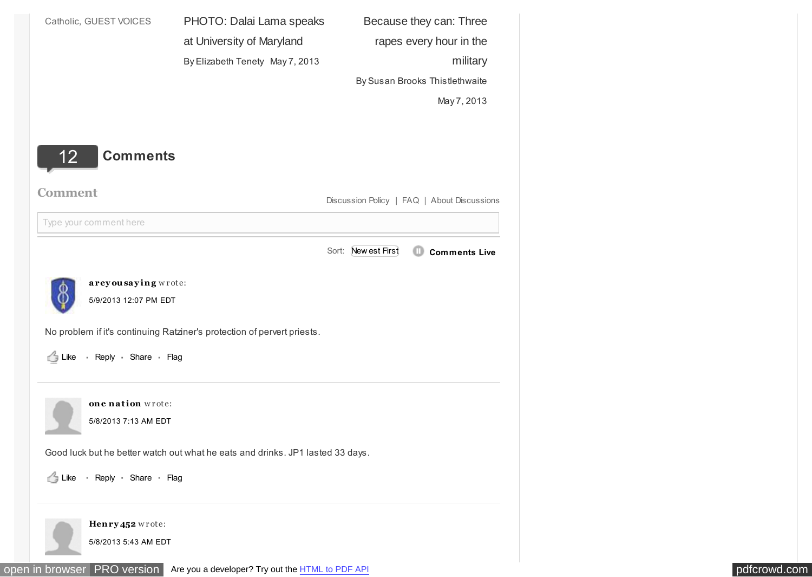<span id="page-5-0"></span>

| Catholic, GUEST VOICES             | PHOTO: Dalai Lama speaks                                                            | Because they can: Three                          |
|------------------------------------|-------------------------------------------------------------------------------------|--------------------------------------------------|
|                                    | at University of Maryland                                                           | rapes every hour in the                          |
|                                    | By Elizabeth Tenety May 7, 2013                                                     | military                                         |
|                                    |                                                                                     | By Susan Brooks Thistlethwaite                   |
|                                    |                                                                                     | May 7, 2013                                      |
|                                    |                                                                                     |                                                  |
| <b>Comments</b><br>12 <sub>2</sub> |                                                                                     |                                                  |
|                                    |                                                                                     |                                                  |
| <b>Comment</b>                     |                                                                                     | Discussion Policy   FAQ   About Discussions      |
| Type your comment here             |                                                                                     |                                                  |
|                                    |                                                                                     | Sort: New est First<br><b>Comments Live</b><br>œ |
|                                    |                                                                                     |                                                  |
| areyousaying wrote:<br>Φ           |                                                                                     |                                                  |
| O<br>5/9/2013 12:07 PM EDT         |                                                                                     |                                                  |
|                                    | No problem if it's continuing Ratziner's protection of pervert priests.             |                                                  |
| Like - Reply - Share - Flag        |                                                                                     |                                                  |
|                                    |                                                                                     |                                                  |
| one nation wrote:                  |                                                                                     |                                                  |
| 5/8/2013 7:13 AM EDT               |                                                                                     |                                                  |
|                                    |                                                                                     |                                                  |
|                                    | Good luck but he better watch out what he eats and drinks. JP1 lasted 33 days.      |                                                  |
| - Reply - Share - Flag             |                                                                                     |                                                  |
|                                    |                                                                                     |                                                  |
| Henry 452 wrote:                   |                                                                                     |                                                  |
| 5/8/2013 5:43 AM EDT               |                                                                                     |                                                  |
|                                    | open in browser PRO version Are you a developer? Try out the <b>HTML</b> to PDF API |                                                  |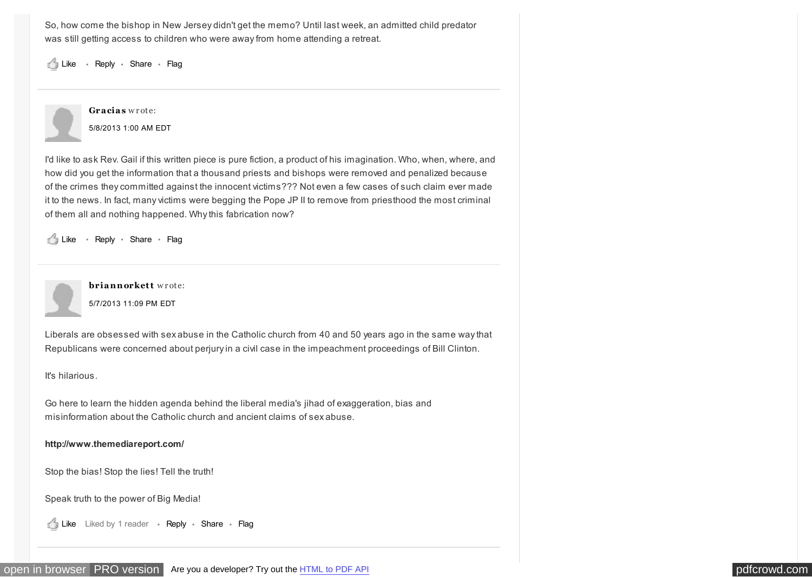So, how come the bishop in New Jersey didn't get the memo? Until last week, an admitted child predator was still getting access to children who were away from home attending a retreat.

Like · Reply · Share · Flag



I'd like to ask Rev. Gail if this written piece is pure fiction, a product of his imagination. Who, when, where, and how did you get the information that a thousand priests and bishops were removed and penalized because of the crimes they committed against the innocent victims??? Not even a few cases of such claim ever made it to the news. In fact, many victims were begging the Pope JP II to remove from priesthood the most criminal of them all and nothing happened. Why this fabrication now?

Like · Reply · Share · Flag



[5/7/2013 11:09 PM EDT](http://www.washingtonpost.com/blogs/on-faith/wp/2013/05/07/can-pope-francis-finish-the-job-that-benedict-began/?commentID=washingtonpost.com/ECHO/item/1367982579-149-737) **briannorkett** wrote:

Liberals are obsessed with sex abuse in the Catholic church from 40 and 50 years ago in the same way that Republicans were concerned about perjury in a civil case in the impeachment proceedings of Bill Clinton.

It's hilarious.

Go here to learn the hidden agenda behind the liberal media's jihad of exaggeration, bias and misinformation about the Catholic church and ancient claims of sex abuse.

**<http://www.themediareport.com/>**

Stop the bias! Stop the lies! Tell the truth!

Speak truth to the power of Big Media!

Like Liked by 1 reader - Reply - Share - Flag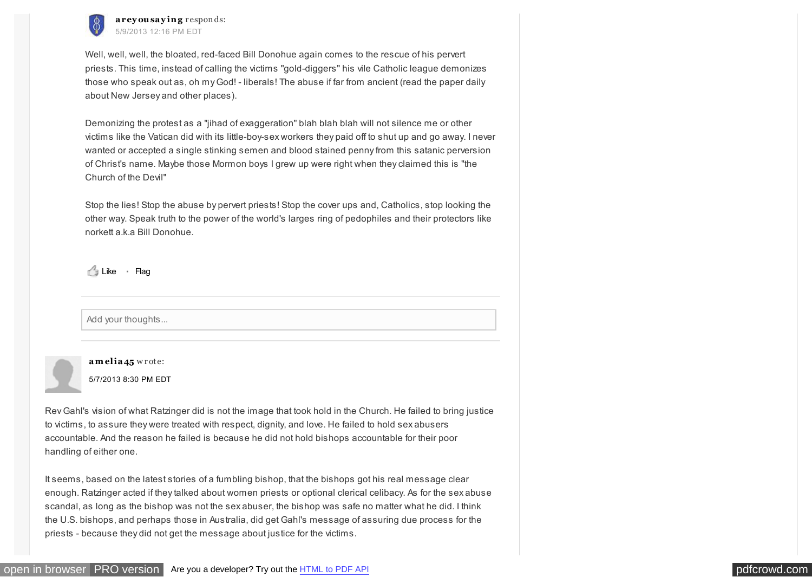

5/9/2013 12:16 PM EDT areyousaying responds:

Well, well, well, the bloated, red-faced Bill Donohue again comes to the rescue of his pervert priests. This time, instead of calling the victims "gold-diggers" his vile Catholic league demonizes those who speak out as, oh my God! - liberals! The abuse if far from ancient (read the paper daily about New Jersey and other places).

Demonizing the protest as a "jihad of exaggeration" blah blah blah will not silence me or other victims like the Vatican did with its little-boy-sex workers they paid off to shut up and go away. I never wanted or accepted a single stinking semen and blood stained penny from this satanic perversion of Christ's name. Maybe those Mormon boys I grew up were right when they claimed this is "the Church of the Devil"

Stop the lies! Stop the abuse by pervert priests! Stop the cover ups and, Catholics, stop looking the other way. Speak truth to the power of the world's larges ring of pedophiles and their protectors like norkett a.k.a Bill Donohue.

Like · Flag

Add your thoughts...



[5/7/2013 8:30 PM EDT](http://www.washingtonpost.com/blogs/on-faith/wp/2013/05/07/can-pope-francis-finish-the-job-that-benedict-began/?commentID=washingtonpost.com/ECHO/item/1367973036-913-5) amelia<sub>45</sub> wrote:

Rev Gahl's vision of what Ratzinger did is not the image that took hold in the Church. He failed to bring justice to victims, to assure they were treated with respect, dignity, and love. He failed to hold sex abusers accountable. And the reason he failed is because he did not hold bishops accountable for their poor handling of either one.

It seems, based on the latest stories of a fumbling bishop, that the bishops got his real message clear enough. Ratzinger acted if they talked about women priests or optional clerical celibacy. As for the sex abuse scandal, as long as the bishop was not the sex abuser, the bishop was safe no matter what he did. I think the U.S. bishops, and perhaps those in Australia, did get Gahl's message of assuring due process for the priests - because they did not get the message about justice for the victims.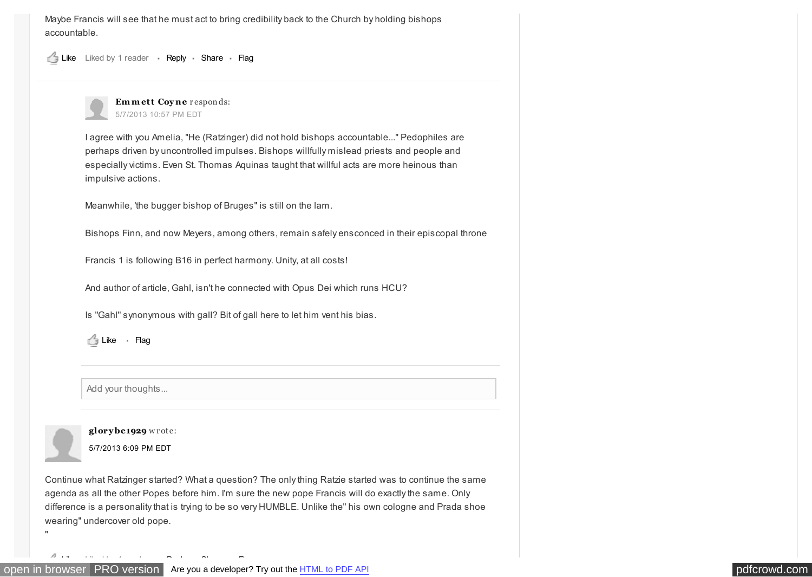Maybe Francis will see that he must act to bring credibility back to the Church by holding bishops accountable.

Liked by 1 reader · Reply · Share · Like Flag



I agree with you Amelia, "He (Ratzinger) did not hold bishops accountable..." Pedophiles are perhaps driven by uncontrolled impulses. Bishops willfully mislead priests and people and especially victims. Even St. Thomas Aquinas taught that willful acts are more heinous than impulsive actions.

Meanwhile, 'the bugger bishop of Bruges" is still on the lam.

Bishops Finn, and now Meyers, among others, remain safely ensconced in their episcopal throne

Francis 1 is following B16 in perfect harmony. Unity, at all costs!

And author of article, Gahl, isn't he connected with Opus Dei which runs HCU?

Is "Gahl" synonymous with gall? Bit of gall here to let him vent his bias.

Like · Flag

Add your thoughts...



"

**glory be1929** w r ote:

[5/7/2013 6:09 PM EDT](http://www.washingtonpost.com/blogs/on-faith/wp/2013/05/07/can-pope-francis-finish-the-job-that-benedict-began/?commentID=washingtonpost.com/74d4c1d8-ca2f-4df2-bd10-46558e8aebdc/)

Continue what Ratzinger started? What a question? The only thing Ratzie started was to continue the same agenda as all the other Popes before him. I'm sure the new pope Francis will do exactly the same. Only difference is a personality that is trying to be so very HUMBLE. Unlike the" his own cologne and Prada shoe wearing" undercover old pope.

<u>Like Flags (1990)</u> (1990) (1990) (1990) (1990) (1990) (1990) (1990) (1990) (1990) (1990) (1990) (1990) (1990) (1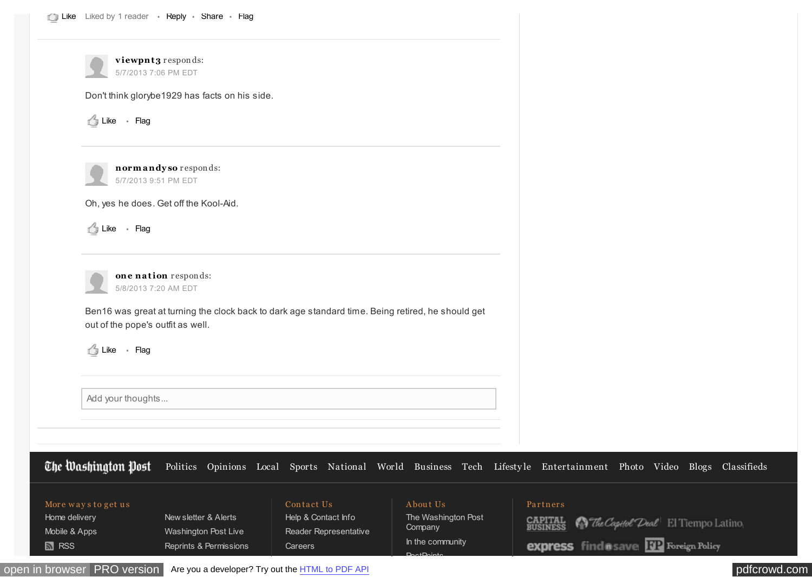|                                | viewpnt3 responds:<br>5/7/2013 7:06 PM EDT                                                        |                                              |                                |                                                                                                                                       |
|--------------------------------|---------------------------------------------------------------------------------------------------|----------------------------------------------|--------------------------------|---------------------------------------------------------------------------------------------------------------------------------------|
|                                | Don't think glorybe1929 has facts on his side.                                                    |                                              |                                |                                                                                                                                       |
| <b>S</b> Like · Flag           |                                                                                                   |                                              |                                |                                                                                                                                       |
|                                | normandyso responds:<br>5/7/2013 9:51 PM EDT                                                      |                                              |                                |                                                                                                                                       |
|                                | Oh, yes he does. Get off the Kool-Aid.                                                            |                                              |                                |                                                                                                                                       |
| Like · Flag                    |                                                                                                   |                                              |                                |                                                                                                                                       |
|                                |                                                                                                   |                                              |                                |                                                                                                                                       |
|                                | one nation responds:<br>5/8/2013 7:20 AM EDT                                                      |                                              |                                |                                                                                                                                       |
|                                | Ben16 was great at turning the clock back to dark age standard time. Being retired, he should get |                                              |                                |                                                                                                                                       |
|                                | out of the pope's outfit as well.                                                                 |                                              |                                |                                                                                                                                       |
| Like · Flag                    |                                                                                                   |                                              |                                |                                                                                                                                       |
|                                |                                                                                                   |                                              |                                |                                                                                                                                       |
| Add your thoughts              |                                                                                                   |                                              |                                |                                                                                                                                       |
|                                |                                                                                                   |                                              |                                |                                                                                                                                       |
|                                |                                                                                                   |                                              |                                |                                                                                                                                       |
|                                |                                                                                                   |                                              |                                | The Washington Post Politics Opinions Local Sports National World Business Tech Lifestyle Entertainment Photo Video Blogs Classifieds |
| More ways to get us            |                                                                                                   | Contact Us                                   | About Us                       | Partners                                                                                                                              |
| Home delivery<br>Mobile & Apps | New sletter & Alerts<br>Washington Post Live                                                      | Help & Contact Info<br>Reader Representative | The Washington Post<br>Company | <b>CAPITAL</b><br>BUSINESS<br><b>N</b> The Capitol Deal El Tiempo Latino                                                              |
| <b>M</b> RSS                   | Reprints & Permissions                                                                            | Careers                                      | In the community               | <b>express</b> find a save <b>132</b> Foreign Policy                                                                                  |

 $P_{\text{O}}$  of  $P_{\text{O}}$ 

[open in browser](http://pdfcrowd.com/redirect/?url=http%3a%2f%2fwww.washingtonpost.com%2fblogs%2fon-faith%2fwp%2f2013%2f05%2f07%2fcan-pope-francis-finish-the-job-that-benedict-began%2f&id=ma-130704222603-362bf0a0) [PRO version](http://pdfcrowd.com/customize/) Are you a developer? Try out the **HTML to PDF API proper and the Section** [pdfcrowd.com](http://pdfcrowd.com)

 $\blacksquare$